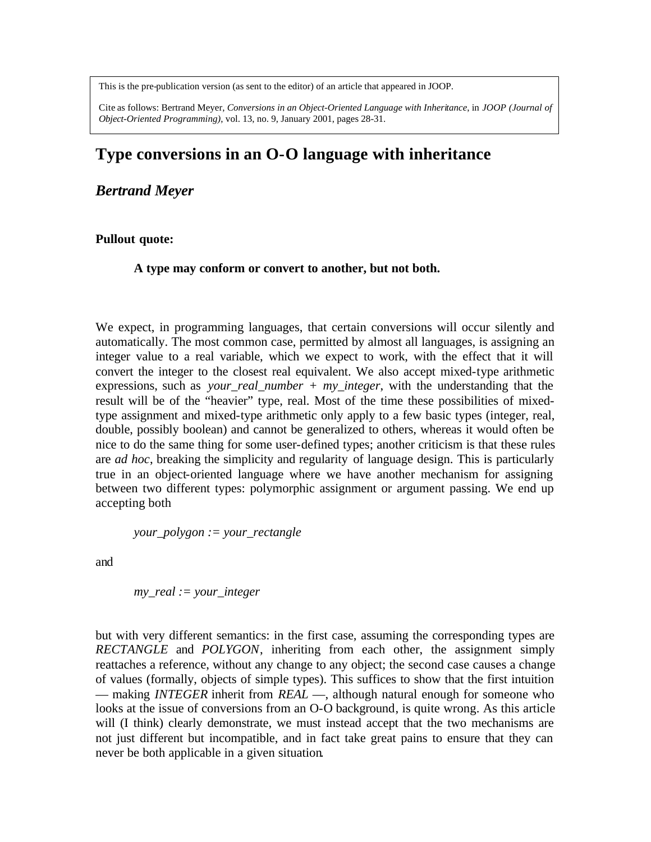This is the pre-publication version (as sent to the editor) of an article that appeared in JOOP.

Cite as follows: Bertrand Meyer, *Conversions in an Object-Oriented Language with Inheritance*, in *JOOP (Journal of Object-Oriented Programming)*, vol. 13, no. 9, January 2001, pages 28-31.

# **Type conversions in an O-O language with inheritance**

*Bertrand Meyer*

#### **Pullout quote:**

**A type may conform or convert to another, but not both.**

We expect, in programming languages, that certain conversions will occur silently and automatically. The most common case, permitted by almost all languages, is assigning an integer value to a real variable, which we expect to work, with the effect that it will convert the integer to the closest real equivalent. We also accept mixed-type arithmetic expressions, such as *your\_real\_number + my\_integer*, with the understanding that the result will be of the "heavier" type, real. Most of the time these possibilities of mixedtype assignment and mixed-type arithmetic only apply to a few basic types (integer, real, double, possibly boolean) and cannot be generalized to others, whereas it would often be nice to do the same thing for some user-defined types; another criticism is that these rules are *ad hoc*, breaking the simplicity and regularity of language design. This is particularly true in an object-oriented language where we have another mechanism for assigning between two different types: polymorphic assignment or argument passing. We end up accepting both

*your\_polygon := your\_rectangle*

and

*my\_real := your\_integer*

but with very different semantics: in the first case, assuming the corresponding types are *RECTANGLE* and *POLYGON*, inheriting from each other, the assignment simply reattaches a reference, without any change to any object; the second case causes a change of values (formally, objects of simple types). This suffices to show that the first intuition — making *INTEGER* inherit from *REAL* —, although natural enough for someone who looks at the issue of conversions from an O-O background, is quite wrong. As this article will (I think) clearly demonstrate, we must instead accept that the two mechanisms are not just different but incompatible, and in fact take great pains to ensure that they can never be both applicable in a given situation.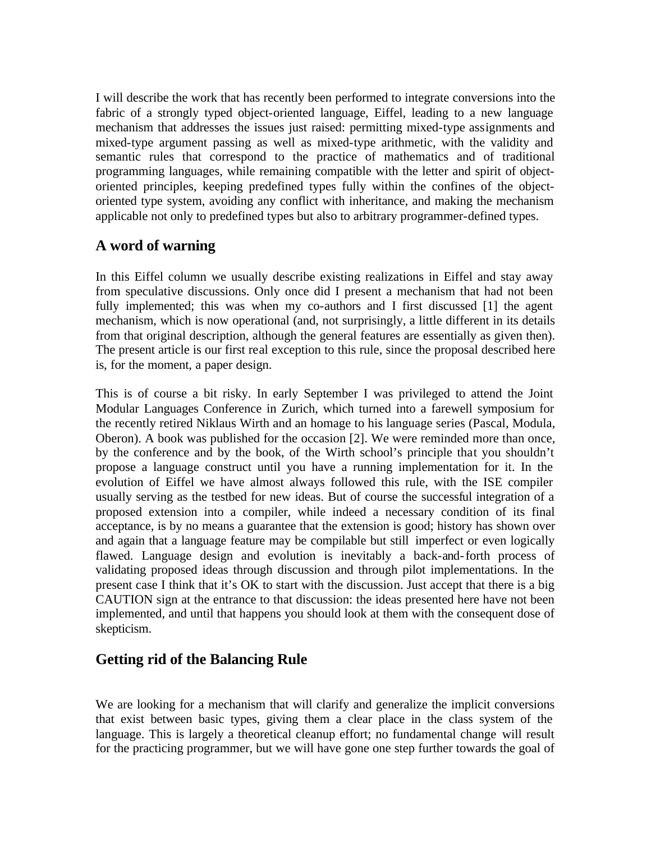I will describe the work that has recently been performed to integrate conversions into the fabric of a strongly typed object-oriented language, Eiffel, leading to a new language mechanism that addresses the issues just raised: permitting mixed-type assignments and mixed-type argument passing as well as mixed-type arithmetic, with the validity and semantic rules that correspond to the practice of mathematics and of traditional programming languages, while remaining compatible with the letter and spirit of objectoriented principles, keeping predefined types fully within the confines of the objectoriented type system, avoiding any conflict with inheritance, and making the mechanism applicable not only to predefined types but also to arbitrary programmer-defined types.

## **A word of warning**

In this Eiffel column we usually describe existing realizations in Eiffel and stay away from speculative discussions. Only once did I present a mechanism that had not been fully implemented; this was when my co-authors and I first discussed [1] the agent mechanism, which is now operational (and, not surprisingly, a little different in its details from that original description, although the general features are essentially as given then). The present article is our first real exception to this rule, since the proposal described here is, for the moment, a paper design.

This is of course a bit risky. In early September I was privileged to attend the Joint Modular Languages Conference in Zurich, which turned into a farewell symposium for the recently retired Niklaus Wirth and an homage to his language series (Pascal, Modula, Oberon). A book was published for the occasion [2]. We were reminded more than once, by the conference and by the book, of the Wirth school's principle that you shouldn't propose a language construct until you have a running implementation for it. In the evolution of Eiffel we have almost always followed this rule, with the ISE compiler usually serving as the testbed for new ideas. But of course the successful integration of a proposed extension into a compiler, while indeed a necessary condition of its final acceptance, is by no means a guarantee that the extension is good; history has shown over and again that a language feature may be compilable but still imperfect or even logically flawed. Language design and evolution is inevitably a back-and-forth process of validating proposed ideas through discussion and through pilot implementations. In the present case I think that it's OK to start with the discussion. Just accept that there is a big CAUTION sign at the entrance to that discussion: the ideas presented here have not been implemented, and until that happens you should look at them with the consequent dose of skepticism.

# **Getting rid of the Balancing Rule**

We are looking for a mechanism that will clarify and generalize the implicit conversions that exist between basic types, giving them a clear place in the class system of the language. This is largely a theoretical cleanup effort; no fundamental change will result for the practicing programmer, but we will have gone one step further towards the goal of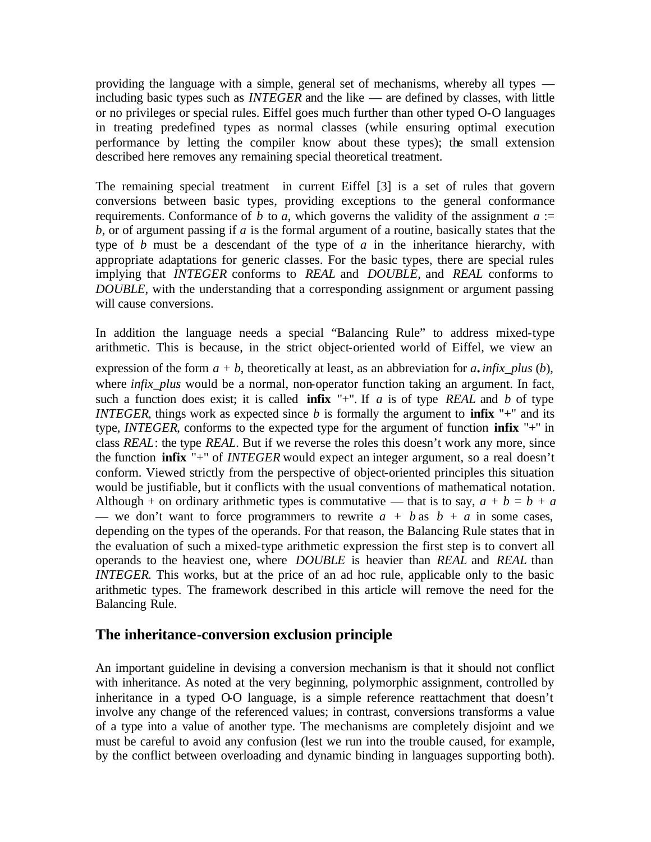providing the language with a simple, general set of mechanisms, whereby all types including basic types such as *INTEGER* and the like — are defined by classes, with little or no privileges or special rules. Eiffel goes much further than other typed O-O languages in treating predefined types as normal classes (while ensuring optimal execution performance by letting the compiler know about these types); the small extension described here removes any remaining special theoretical treatment.

The remaining special treatment in current Eiffel [3] is a set of rules that govern conversions between basic types, providing exceptions to the general conformance requirements. Conformance of *b* to *a*, which governs the validity of the assignment  $a :=$ *b*, or of argument passing if *a* is the formal argument of a routine, basically states that the type of *b* must be a descendant of the type of *a* in the inheritance hierarchy, with appropriate adaptations for generic classes. For the basic types, there are special rules implying that *INTEGER* conforms to *REAL* and *DOUBLE*, and *REAL* conforms to *DOUBLE*, with the understanding that a corresponding assignment or argument passing will cause conversions.

In addition the language needs a special "Balancing Rule" to address mixed-type arithmetic. This is because, in the strict object-oriented world of Eiffel, we view an expression of the form  $a + b$ , theoretically at least, as an abbreviation for  $a$ *. infix\_plus (b)*, where *infix\_plus* would be a normal, non-operator function taking an argument. In fact, such a function does exist; it is called **infix** "+". If *a* is of type *REAL* and *b* of type *INTEGER*, things work as expected since *b* is formally the argument to **infix** "+" and its type, *INTEGER*, conforms to the expected type for the argument of function **infix** "+" in class *REAL*: the type *REAL*. But if we reverse the roles this doesn't work any more, since the function **infix** "+" of *INTEGER* would expect an integer argument, so a real doesn't conform. Viewed strictly from the perspective of object-oriented principles this situation would be justifiable, but it conflicts with the usual conventions of mathematical notation. Although + on ordinary arithmetic types is commutative — that is to say,  $a + b = b + a$ — we don't want to force programmers to rewrite  $a + b$  as  $b + a$  in some cases, depending on the types of the operands. For that reason, the Balancing Rule states that in the evaluation of such a mixed-type arithmetic expression the first step is to convert all operands to the heaviest one, where *DOUBLE* is heavier than *REAL* and *REAL* than *INTEGER*. This works, but at the price of an ad hoc rule, applicable only to the basic arithmetic types. The framework described in this article will remove the need for the Balancing Rule.

#### **The inheritance-conversion exclusion principle**

An important guideline in devising a conversion mechanism is that it should not conflict with inheritance. As noted at the very beginning, polymorphic assignment, controlled by inheritance in a typed  $OO$  language, is a simple reference reattachment that doesn't involve any change of the referenced values; in contrast, conversions transforms a value of a type into a value of another type. The mechanisms are completely disjoint and we must be careful to avoid any confusion (lest we run into the trouble caused, for example, by the conflict between overloading and dynamic binding in languages supporting both).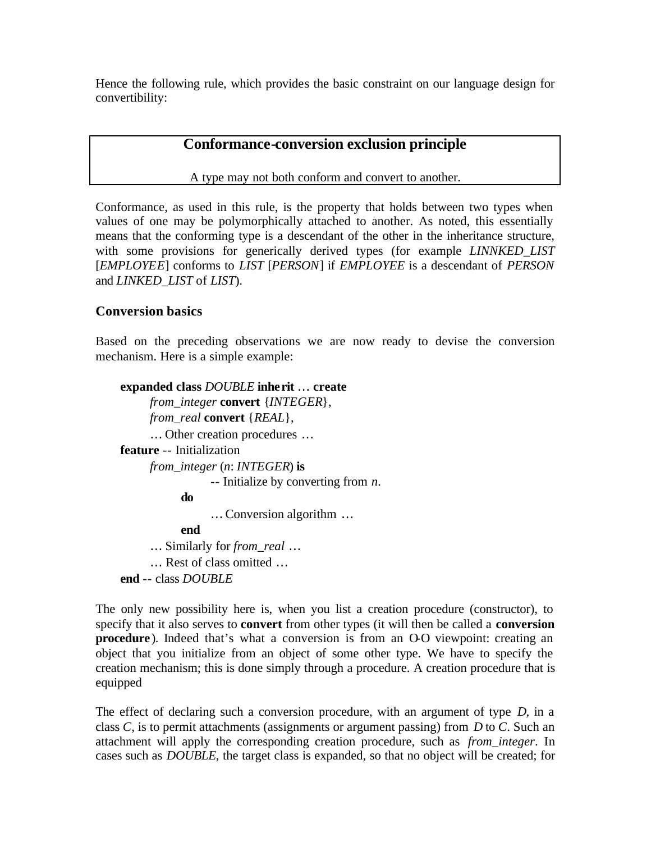Hence the following rule, which provides the basic constraint on our language design for convertibility:

#### **Conformance-conversion exclusion principle**

A type may not both conform and convert to another.

Conformance, as used in this rule, is the property that holds between two types when values of one may be polymorphically attached to another. As noted, this essentially means that the conforming type is a descendant of the other in the inheritance structure, with some provisions for generically derived types (for example *LINNKED\_LIST* [*EMPLOYEE*] conforms to *LIST* [*PERSON*] if *EMPLOYEE* is a descendant of *PERSON* and *LINKED\_LIST* of *LIST*).

#### **Conversion basics**

Based on the preceding observations we are now ready to devise the conversion mechanism. Here is a simple example:

```
expanded class DOUBLE inherit ¼ create
     from_integer convert {INTEGER},
     from_real convert {REAL},
     … Other creation procedures …
feature -- Initialization
     from_integer (n: INTEGER) is
                -- Initialize by converting from n.
          do
                … Conversion algorithm …
          end
     … Similarly for from_real …
     … Rest of class omitted …
end -- class DOUBLE
```
The only new possibility here is, when you list a creation procedure (constructor), to specify that it also serves to **convert** from other types (it will then be called a **conversion procedure**). Indeed that's what a conversion is from an O-O viewpoint: creating an object that you initialize from an object of some other type. We have to specify the creation mechanism; this is done simply through a procedure. A creation procedure that is equipped

The effect of declaring such a conversion procedure, with an argument of type *D*, in a class *C*, is to permit attachments (assignments or argument passing) from *D* to *C*. Such an attachment will apply the corresponding creation procedure, such as *from\_integer*. In cases such as *DOUBLE*, the target class is expanded, so that no object will be created; for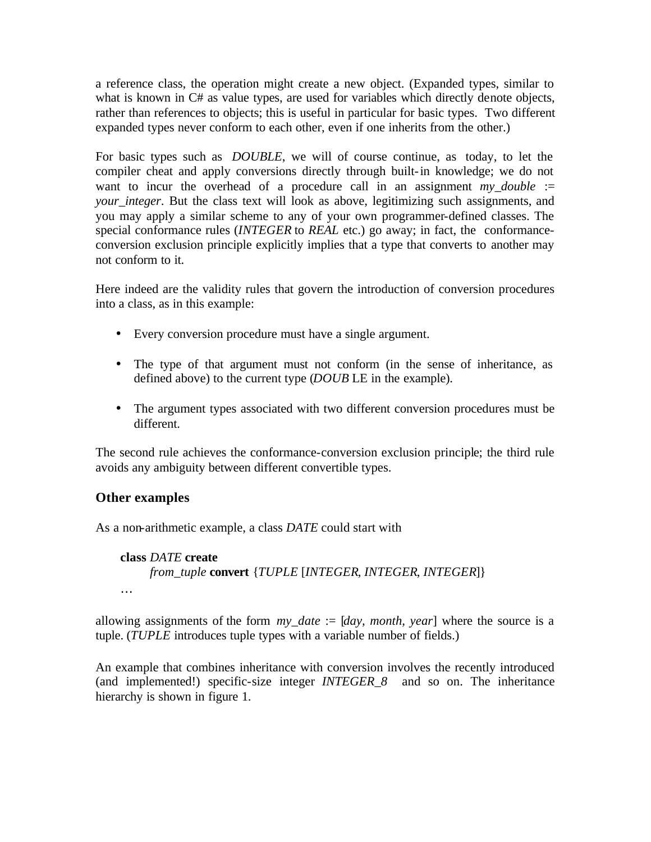a reference class, the operation might create a new object. (Expanded types, similar to what is known in C# as value types, are used for variables which directly denote objects, rather than references to objects; this is useful in particular for basic types. Two different expanded types never conform to each other, even if one inherits from the other.)

For basic types such as *DOUBLE*, we will of course continue, as today, to let the compiler cheat and apply conversions directly through built-in knowledge; we do not want to incur the overhead of a procedure call in an assignment  $my\_double$  := *your integer*. But the class text will look as above, legitimizing such assignments, and you may apply a similar scheme to any of your own programmer-defined classes. The special conformance rules (*INTEGER* to *REAL* etc.) go away; in fact, the conformanceconversion exclusion principle explicitly implies that a type that converts to another may not conform to it.

Here indeed are the validity rules that govern the introduction of conversion procedures into a class, as in this example:

- Every conversion procedure must have a single argument.
- The type of that argument must not conform (in the sense of inheritance, as defined above) to the current type (*DOUB* LE in the example).
- The argument types associated with two different conversion procedures must be different.

The second rule achieves the conformance-conversion exclusion principle; the third rule avoids any ambiguity between different convertible types.

### **Other examples**

As a non-arithmetic example, a class *DATE* could start with

**class** *DATE* **create** *from\_tuple* **convert** {*TUPLE* [*INTEGER*, *INTEGER*, *INTEGER*]} …

allowing assignments of the form *my\_date* := [*day, month, year*] where the source is a tuple. (*TUPLE* introduces tuple types with a variable number of fields.)

An example that combines inheritance with conversion involves the recently introduced (and implemented!) specific-size integer *INTEGER\_8* and so on. The inheritance hierarchy is shown in figure 1.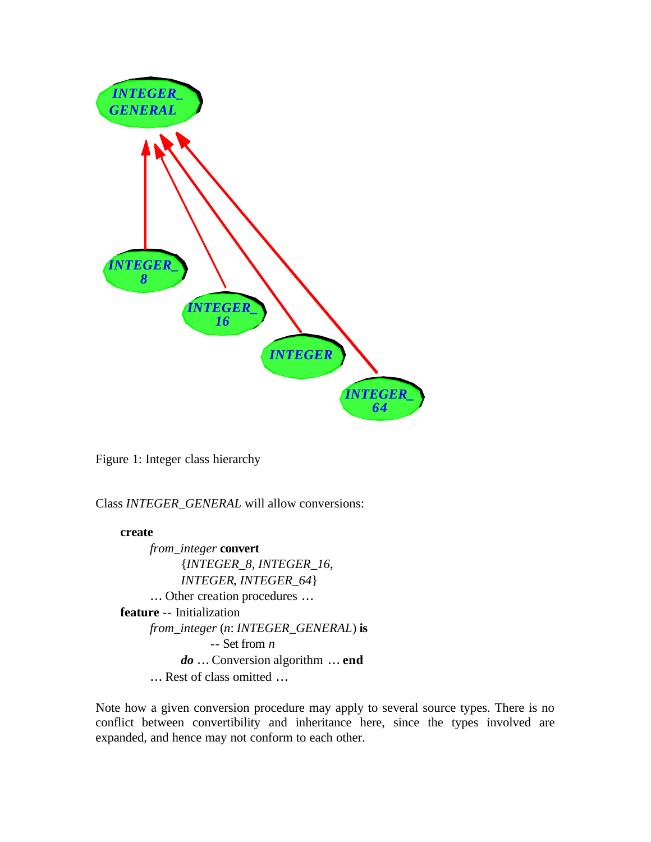

Figure 1: Integer class hierarchy

Class *INTEGER\_GENERAL* will allow conversions:

#### **create**

*from\_integer* **convert** {*INTEGER\_8*, *INTEGER\_16*, *INTEGER*, *INTEGER\_64*} … Other creation procedures … **feature** -- Initialization *from\_integer* (*n*: *INTEGER\_GENERAL*) **is** -- Set from *n do* … Conversion algorithm … **end** *¼* Rest of class omitted …

Note how a given conversion procedure may apply to several source types. There is no conflict between convertibility and inheritance here, since the types involved are expanded, and hence may not conform to each other.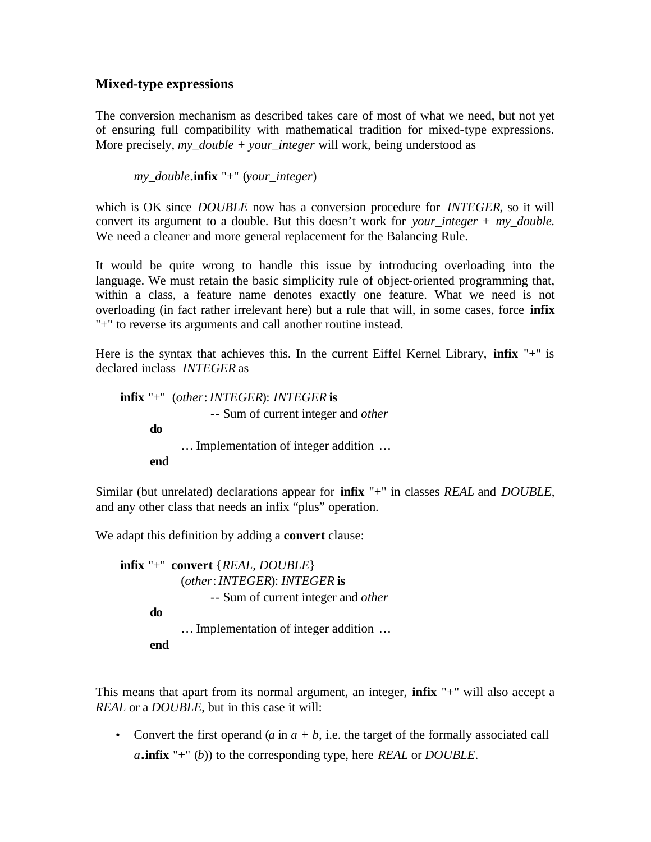#### **Mixed-type expressions**

The conversion mechanism as described takes care of most of what we need, but not yet of ensuring full compatibility with mathematical tradition for mixed-type expressions. More precisely, *my\_double + your\_integer* will work, being understood as

*my\_double*.**infix** "+" (*your\_integer*)

which is OK since *DOUBLE* now has a conversion procedure for *INTEGER*, so it will convert its argument to a double. But this doesn't work for *your\_integer + my\_double.* We need a cleaner and more general replacement for the Balancing Rule.

It would be quite wrong to handle this issue by introducing overloading into the language. We must retain the basic simplicity rule of object-oriented programming that, within a class, a feature name denotes exactly one feature. What we need is not overloading (in fact rather irrelevant here) but a rule that will, in some cases, force **infix**  "+" to reverse its arguments and call another routine instead.

Here is the syntax that achieves this. In the current Eiffel Kernel Library, **infix** "+" is declared inclass *INTEGER* as

**infix** "+" (*other*: *INTEGER*): *INTEGER* **is** -- Sum of current integer and *other* **do** … Implementation of integer addition … **end**

Similar (but unrelated) declarations appear for **infix** "+" in classes *REAL* and *DOUBLE*, and any other class that needs an infix "plus" operation.

We adapt this definition by adding a **convert** clause:

```
infix "+" convert {REAL, DOUBLE}
           (other: INTEGER): INTEGER is
                -- Sum of current integer and other
     do
           … Implementation of integer addition …
     end
```
This means that apart from its normal argument, an integer, **infix** "+" will also accept a *REAL* or a *DOUBLE*, but in this case it will:

• Convert the first operand  $(a \text{ in } a + b)$ , i.e. the target of the formally associated call *a*.**infix** "+" (*b*)) to the corresponding type, here *REAL* or *DOUBLE*.